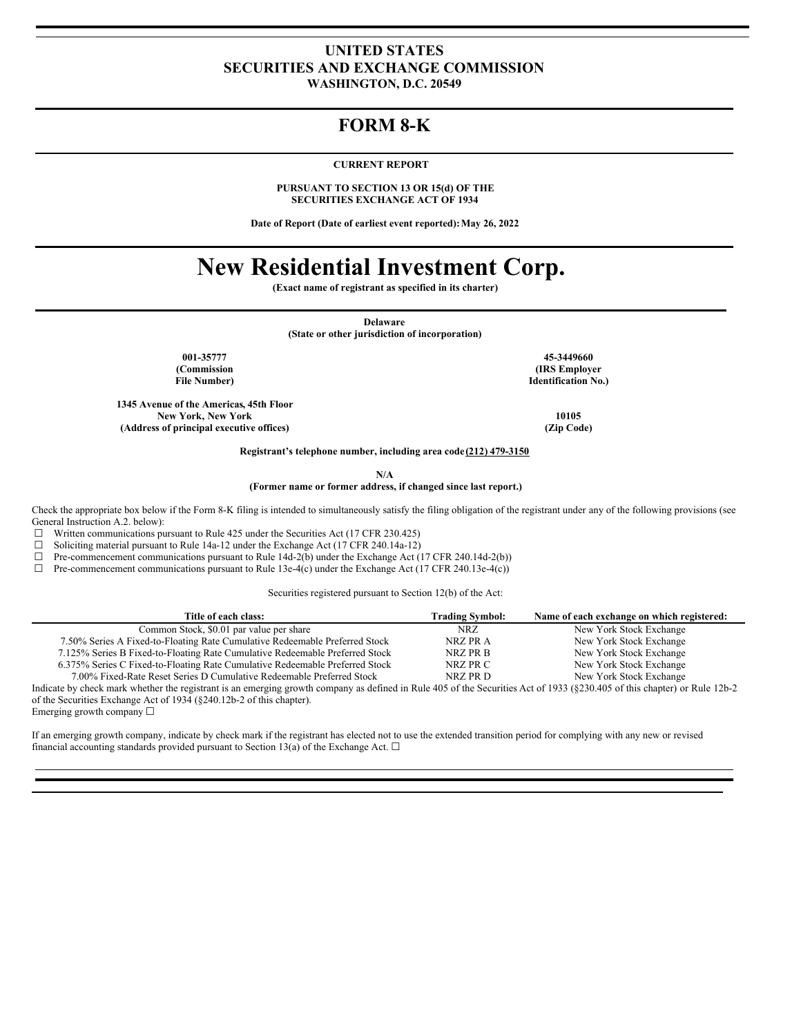### **UNITED STATES SECURITIES AND EXCHANGE COMMISSION WASHINGTON, D.C. 20549**

## **FORM 8-K**

### **CURRENT REPORT**

**PURSUANT TO SECTION 13 OR 15(d) OF THE SECURITIES EXCHANGE ACT OF 1934**

**Date of Report (Date of earliest event reported):May 26, 2022**

# **New Residential Investment Corp.**

**(Exact name of registrant as specified in its charter)**

**Delaware**

**(State or other jurisdiction of incorporation)**

**(Commission File Number)**

**1345 Avenue of the Americas, 45th Floor New York, New York 10105 (Address of principal executive offices) (Zip Code)**

**001-35777 45-3449660 (IRS Employer Identification No.)**

**Registrant's telephone number, including area code (212) 479-3150**

**N/A**

**(Former name or former address, if changed since last report.)**

Check the appropriate box below if the Form 8-K filing is intended to simultaneously satisfy the filing obligation of the registrant under any of the following provisions (see General Instruction A.2. below):

 $\Box$  Written communications pursuant to Rule 425 under the Securities Act (17 CFR 230.425)

☐ Soliciting material pursuant to Rule 14a-12 under the Exchange Act (17 CFR 240.14a-12)

☐ Pre-commencement communications pursuant to Rule 14d-2(b) under the Exchange Act (17 CFR 240.14d-2(b))

☐ Pre-commencement communications pursuant to Rule 13e-4(c) under the Exchange Act (17 CFR 240.13e-4(c))

Securities registered pursuant to Section 12(b) of the Act:

| Title of each class:                                                                                                                                                      | <b>Trading Symbol:</b> | Name of each exchange on which registered: |
|---------------------------------------------------------------------------------------------------------------------------------------------------------------------------|------------------------|--------------------------------------------|
| Common Stock, \$0.01 par value per share                                                                                                                                  | NRZ.                   | New York Stock Exchange                    |
| 7.50% Series A Fixed-to-Floating Rate Cumulative Redeemable Preferred Stock                                                                                               | NRZ PR A               | New York Stock Exchange                    |
| 7.125% Series B Fixed-to-Floating Rate Cumulative Redeemable Preferred Stock                                                                                              | NRZ PR B               | New York Stock Exchange                    |
| 6.375% Series C Fixed-to-Floating Rate Cumulative Redeemable Preferred Stock                                                                                              | NRZ PR C               | New York Stock Exchange                    |
| 7.00% Fixed-Rate Reset Series D Cumulative Redeemable Preferred Stock                                                                                                     | NRZ PR D               | New York Stock Exchange                    |
| Indicate by check mark whether the registrant is an emerging growth company as defined in Rule 405 of the Securities Act of 1933 (§230.405 of this chapter) or Rule 12b-2 |                        |                                            |
| of the Securities Exchange Act of 1934 ( $\S$ 240.12b-2 of this chapter).                                                                                                 |                        |                                            |
|                                                                                                                                                                           |                        |                                            |

Emerging growth company ☐

If an emerging growth company, indicate by check mark if the registrant has elected not to use the extended transition period for complying with any new or revised financial accounting standards provided pursuant to Section 13(a) of the Exchange Act.  $\Box$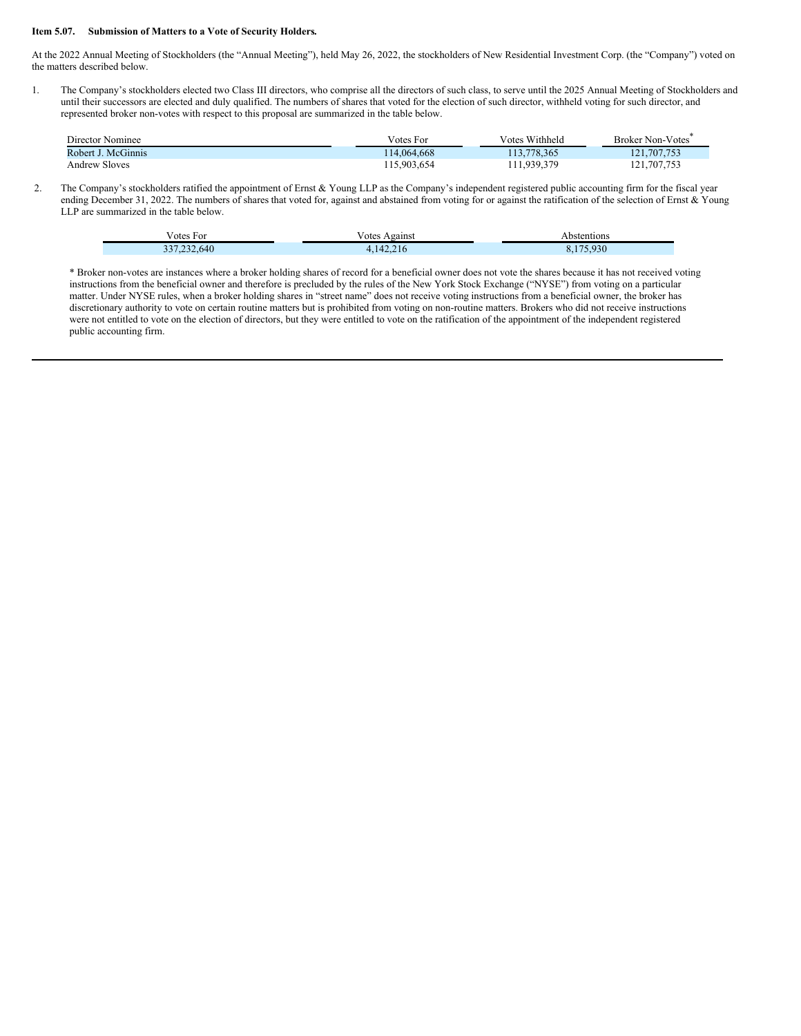#### **Item 5.07. Submission of Matters to a Vote of Security Holders.**

Ī

At the 2022 Annual Meeting of Stockholders (the "Annual Meeting"), held May 26, 2022, the stockholders of New Residential Investment Corp. (the "Company") voted on the matters described below.

1. The Company's stockholders elected two Class III directors, who comprise all the directors of such class, to serve until the 2025 Annual Meeting of Stockholders and until their successors are elected and duly qualified. The numbers of shares that voted for the election of such director, withheld voting for such director, and represented broker non-votes with respect to this proposal are summarized in the table below.

| Director Nominee     | Votes For   | Votes Withheld | Broker Non-Votes |
|----------------------|-------------|----------------|------------------|
| Robert J. McGinnis   | 14.064.668  | 13.778.365     | 121.707.753      |
| <b>Andrew Sloves</b> | 115.903.654 | 11,939,379     | 121,707,753      |

2. The Company's stockholders ratified the appointment of Ernst & Young LLP as the Company's independent registered public accounting firm for the fiscal year ending December 31, 2022. The numbers of shares that voted for, against and abstained from voting for or against the ratification of the selection of Ernst & Young LLP are summarized in the table below.

| √otes For                   | √otes<br>Against                        | Abstentions |
|-----------------------------|-----------------------------------------|-------------|
| 2.640<br>227<br>$\sim$<br>. | (42.21)<br>-16<br>$\epsilon$<br>T 4 . 4 | 020<br>9.50 |

\* Broker non-votes are instances where a broker holding shares of record for a beneficial owner does not vote the shares because it has not received voting instructions from the beneficial owner and therefore is precluded by the rules of the New York Stock Exchange ("NYSE") from voting on a particular matter. Under NYSE rules, when a broker holding shares in "street name" does not receive voting instructions from a beneficial owner, the broker has discretionary authority to vote on certain routine matters but is prohibited from voting on non-routine matters. Brokers who did not receive instructions were not entitled to vote on the election of directors, but they were entitled to vote on the ratification of the appointment of the independent registered public accounting firm.